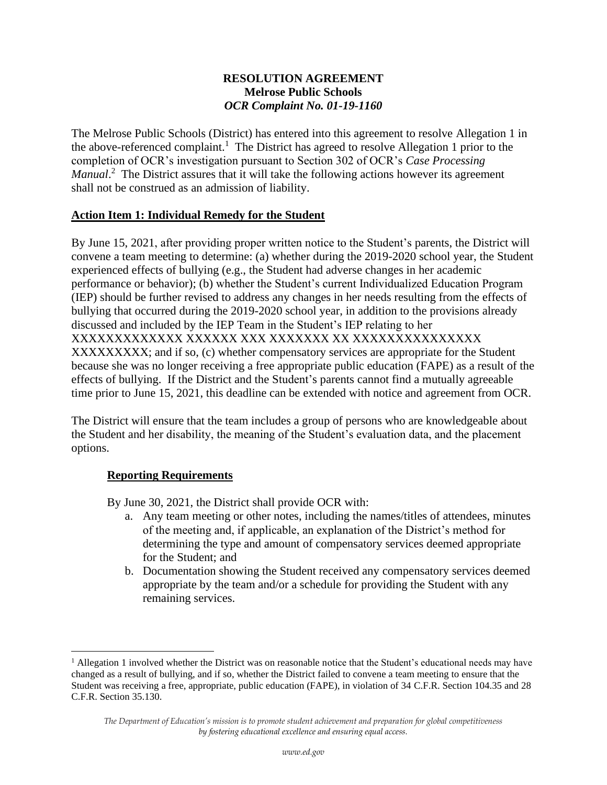### **RESOLUTION AGREEMENT Melrose Public Schools** *OCR Complaint No. 01-19-1160*

The Melrose Public Schools (District) has entered into this agreement to resolve Allegation 1 in the above-referenced complaint.<sup>1</sup> The District has agreed to resolve Allegation 1 prior to the completion of OCR's investigation pursuant to Section 302 of OCR's *Case Processing*  Manual.<sup>2</sup> The District assures that it will take the following actions however its agreement shall not be construed as an admission of liability.

# **Action Item 1: Individual Remedy for the Student**

By June 15, 2021, after providing proper written notice to the Student's parents, the District will convene a team meeting to determine: (a) whether during the 2019-2020 school year, the Student experienced effects of bullying (e.g., the Student had adverse changes in her academic performance or behavior); (b) whether the Student's current Individualized Education Program (IEP) should be further revised to address any changes in her needs resulting from the effects of bullying that occurred during the 2019-2020 school year, in addition to the provisions already discussed and included by the IEP Team in the Student's IEP relating to her XXXXXXXXXXXXX XXXXXX XXX XXXXXXX XX XXXXXXXXXXXXXXX XXXXXXXXXXX; and if so, (c) whether compensatory services are appropriate for the Student because she was no longer receiving a free appropriate public education (FAPE) as a result of the effects of bullying. If the District and the Student's parents cannot find a mutually agreeable time prior to June 15, 2021, this deadline can be extended with notice and agreement from OCR.

The District will ensure that the team includes a group of persons who are knowledgeable about the Student and her disability, the meaning of the Student's evaluation data, and the placement options.

# **Reporting Requirements**

By June 30, 2021, the District shall provide OCR with:

- a. Any team meeting or other notes, including the names/titles of attendees, minutes of the meeting and, if applicable, an explanation of the District's method for determining the type and amount of compensatory services deemed appropriate for the Student; and
- b. Documentation showing the Student received any compensatory services deemed appropriate by the team and/or a schedule for providing the Student with any remaining services.

 $<sup>1</sup>$  Allegation 1 involved whether the District was on reasonable notice that the Student's educational needs may have</sup> changed as a result of bullying, and if so, whether the District failed to convene a team meeting to ensure that the Student was receiving a free, appropriate, public education (FAPE), in violation of 34 C.F.R. Section 104.35 and 28 C.F.R. Section 35.130.

*The Department of Education's mission is to promote student achievement and preparation for global competitiveness by fostering educational excellence and ensuring equal access.*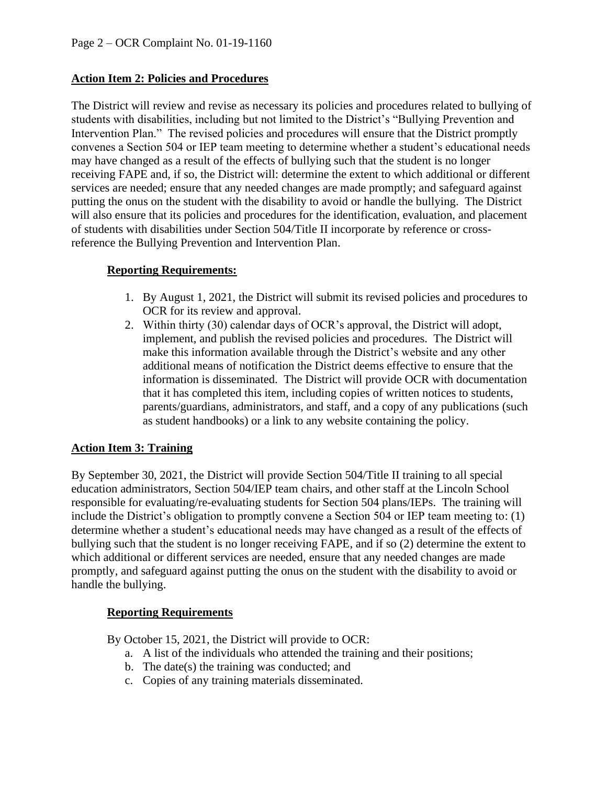# **Action Item 2: Policies and Procedures**

The District will review and revise as necessary its policies and procedures related to bullying of students with disabilities, including but not limited to the District's "Bullying Prevention and Intervention Plan." The revised policies and procedures will ensure that the District promptly convenes a Section 504 or IEP team meeting to determine whether a student's educational needs may have changed as a result of the effects of bullying such that the student is no longer receiving FAPE and, if so, the District will: determine the extent to which additional or different services are needed; ensure that any needed changes are made promptly; and safeguard against putting the onus on the student with the disability to avoid or handle the bullying. The District will also ensure that its policies and procedures for the identification, evaluation, and placement of students with disabilities under Section 504/Title II incorporate by reference or crossreference the Bullying Prevention and Intervention Plan.

# **Reporting Requirements:**

- 1. By August 1, 2021, the District will submit its revised policies and procedures to OCR for its review and approval.
- 2. Within thirty (30) calendar days of OCR's approval, the District will adopt, implement, and publish the revised policies and procedures. The District will make this information available through the District's website and any other additional means of notification the District deems effective to ensure that the information is disseminated. The District will provide OCR with documentation that it has completed this item, including copies of written notices to students, parents/guardians, administrators, and staff, and a copy of any publications (such as student handbooks) or a link to any website containing the policy.

# **Action Item 3: Training**

By September 30, 2021, the District will provide Section 504/Title II training to all special education administrators, Section 504/IEP team chairs, and other staff at the Lincoln School responsible for evaluating/re-evaluating students for Section 504 plans/IEPs. The training will include the District's obligation to promptly convene a Section 504 or IEP team meeting to: (1) determine whether a student's educational needs may have changed as a result of the effects of bullying such that the student is no longer receiving FAPE, and if so (2) determine the extent to which additional or different services are needed, ensure that any needed changes are made promptly, and safeguard against putting the onus on the student with the disability to avoid or handle the bullying.

# **Reporting Requirements**

By October 15, 2021, the District will provide to OCR:

- a. A list of the individuals who attended the training and their positions;
- b. The date(s) the training was conducted; and
- c. Copies of any training materials disseminated.